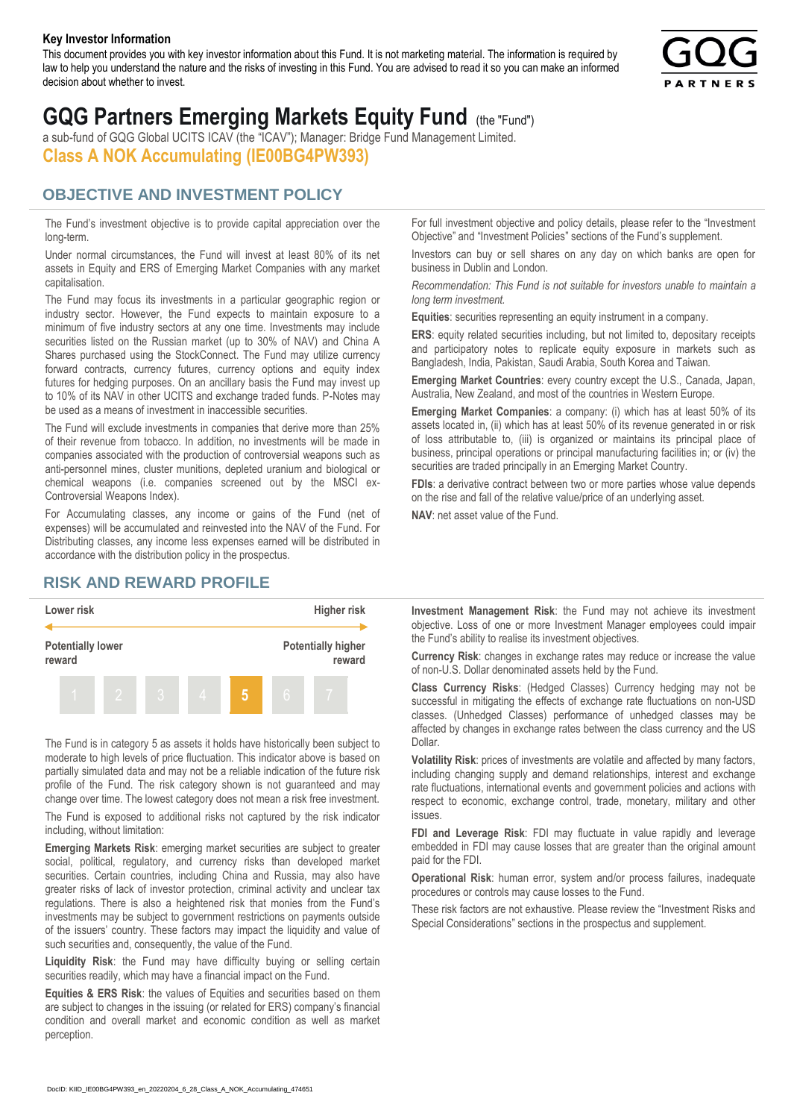#### **Key Investor Information**

This document provides you with key investor information about this Fund. It is not marketing material. The information is required by law to help you understand the nature and the risks of investing in this Fund. You are advised to read it so you can make an informed decision about whether to invest.



# **GQG Partners Emerging Markets Equity Fund** (the "Fund")

a sub-fund of GQG Global UCITS ICAV (the "ICAV"); Manager: Bridge Fund Management Limited. **Class A NOK Accumulating (IE00BG4PW393)**

#### **OBJECTIVE AND INVESTMENT POLICY**

The Fund's investment objective is to provide capital appreciation over the long-term.

Under normal circumstances, the Fund will invest at least 80% of its net assets in Equity and ERS of Emerging Market Companies with any market capitalisation.

The Fund may focus its investments in a particular geographic region or industry sector. However, the Fund expects to maintain exposure to a minimum of five industry sectors at any one time. Investments may include securities listed on the Russian market (up to 30% of NAV) and China A Shares purchased using the StockConnect. The Fund may utilize currency forward contracts, currency futures, currency options and equity index futures for hedging purposes. On an ancillary basis the Fund may invest up to 10% of its NAV in other UCITS and exchange traded funds. P-Notes may be used as a means of investment in inaccessible securities.

The Fund will exclude investments in companies that derive more than 25% of their revenue from tobacco. In addition, no investments will be made in companies associated with the production of controversial weapons such as anti-personnel mines, cluster munitions, depleted uranium and biological or chemical weapons (i.e. companies screened out by the MSCI ex-Controversial Weapons Index).

For Accumulating classes, any income or gains of the Fund (net of expenses) will be accumulated and reinvested into the NAV of the Fund. For Distributing classes, any income less expenses earned will be distributed in accordance with the distribution policy in the prospectus.

### **RISK AND REWARD PROFILE**



The Fund is in category 5 as assets it holds have historically been subject to moderate to high levels of price fluctuation. This indicator above is based on partially simulated data and may not be a reliable indication of the future risk profile of the Fund. The risk category shown is not guaranteed and may change over time. The lowest category does not mean a risk free investment.

The Fund is exposed to additional risks not captured by the risk indicator including, without limitation:

**Emerging Markets Risk**: emerging market securities are subject to greater social, political, regulatory, and currency risks than developed market securities. Certain countries, including China and Russia, may also have greater risks of lack of investor protection, criminal activity and unclear tax regulations. There is also a heightened risk that monies from the Fund's investments may be subject to government restrictions on payments outside of the issuers' country. These factors may impact the liquidity and value of such securities and, consequently, the value of the Fund.

**Liquidity Risk**: the Fund may have difficulty buying or selling certain securities readily, which may have a financial impact on the Fund.

**Equities & ERS Risk**: the values of Equities and securities based on them are subject to changes in the issuing (or related for ERS) company's financial condition and overall market and economic condition as well as market perception.

For full investment objective and policy details, please refer to the "Investment Objective" and "Investment Policies" sections of the Fund's supplement.

Investors can buy or sell shares on any day on which banks are open for business in Dublin and London.

*Recommendation: This Fund is not suitable for investors unable to maintain a long term investment.*

**Equities**: securities representing an equity instrument in a company.

**ERS:** equity related securities including, but not limited to, depositary receipts and participatory notes to replicate equity exposure in markets such as Bangladesh, India, Pakistan, Saudi Arabia, South Korea and Taiwan.

**Emerging Market Countries**: every country except the U.S., Canada, Japan, Australia, New Zealand, and most of the countries in Western Europe.

**Emerging Market Companies**: a company: (i) which has at least 50% of its assets located in, (ii) which has at least 50% of its revenue generated in or risk of loss attributable to, (iii) is organized or maintains its principal place of business, principal operations or principal manufacturing facilities in; or (iv) the securities are traded principally in an Emerging Market Country.

**FDIs**: a derivative contract between two or more parties whose value depends on the rise and fall of the relative value/price of an underlying asset.

**NAV**: net asset value of the Fund.

**Investment Management Risk**: the Fund may not achieve its investment objective. Loss of one or more Investment Manager employees could impair the Fund's ability to realise its investment objectives.

**Currency Risk**: changes in exchange rates may reduce or increase the value of non-U.S. Dollar denominated assets held by the Fund.

**Class Currency Risks**: (Hedged Classes) Currency hedging may not be successful in mitigating the effects of exchange rate fluctuations on non-USD classes. (Unhedged Classes) performance of unhedged classes may be affected by changes in exchange rates between the class currency and the US Dollar.

**Volatility Risk**: prices of investments are volatile and affected by many factors, including changing supply and demand relationships, interest and exchange rate fluctuations, international events and government policies and actions with respect to economic, exchange control, trade, monetary, military and other issues.

**FDI and Leverage Risk**: FDI may fluctuate in value rapidly and leverage embedded in FDI may cause losses that are greater than the original amount paid for the FDI.

**Operational Risk**: human error, system and/or process failures, inadequate procedures or controls may cause losses to the Fund.

These risk factors are not exhaustive. Please review the "Investment Risks and Special Considerations" sections in the prospectus and supplement.